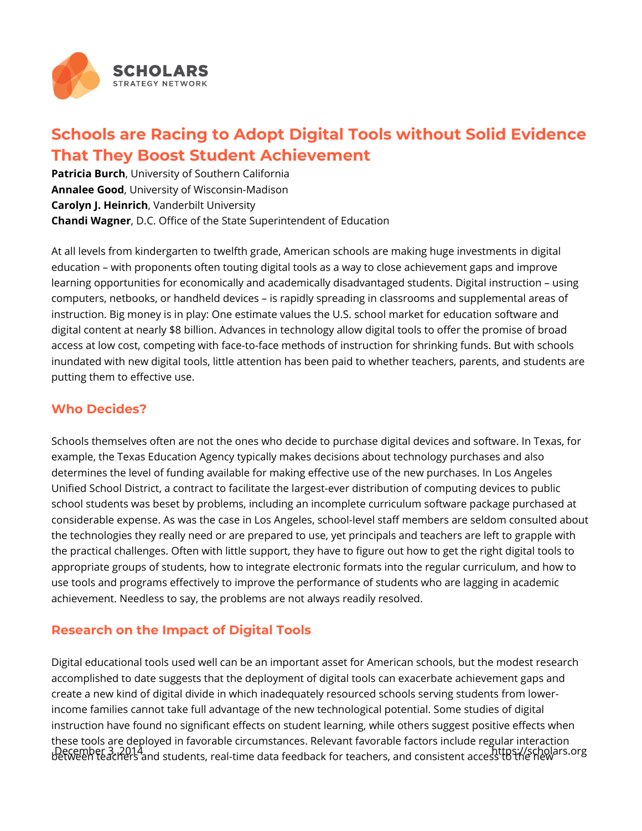

## **Schools are Racing to Adopt Digital Tools without Solid Evidence That They Boost Student Achievement**

**Patricia Burch**, University of Southern California **Annalee Good**, University of Wisconsin-Madison **Carolyn J. Heinrich**, Vanderbilt University **Chandi Wagner**, D.C. Office of the State Superintendent of Education

At all levels from kindergarten to twelfth grade, American schools are making huge investments in digital education – with proponents often touting digital tools as a way to close achievement gaps and improve learning opportunities for economically and academically disadvantaged students. Digital instruction – using computers, netbooks, or handheld devices – is rapidly spreading in classrooms and supplemental areas of instruction. Big money is in play: One estimate values the U.S. school market for education software and digital content at nearly \$8 billion. Advances in technology allow digital tools to offer the promise of broad access at low cost, competing with face-to-face methods of instruction for shrinking funds. But with schools inundated with new digital tools, little attention has been paid to whether teachers, parents, and students are putting them to effective use.

## **Who Decides?**

Schools themselves often are not the ones who decide to purchase digital devices and software. In Texas, for example, the Texas Education Agency typically makes decisions about technology purchases and also determines the level of funding available for making effective use of the new purchases. In Los Angeles Unified School District, a contract to facilitate the largest-ever distribution of computing devices to public school students was beset by problems, including an incomplete curriculum software package purchased at considerable expense. As was the case in Los Angeles, school-level staff members are seldom consulted about the technologies they really need or are prepared to use, yet principals and teachers are left to grapple with the practical challenges. Often with little support, they have to figure out how to get the right digital tools to appropriate groups of students, how to integrate electronic formats into the regular curriculum, and how to use tools and programs effectively to improve the performance of students who are lagging in academic achievement. Needless to say, the problems are not always readily resolved.

## **Research on the Impact of Digital Tools**

Digital educational tools used well can be an important asset for American schools, but the modest research accomplished to date suggests that the deployment of digital tools can exacerbate achievement gaps and create a new kind of digital divide in which inadequately resourced schools serving students from lowerincome families cannot take full advantage of the new technological potential. Some studies of digital instruction have found no significant effects on student learning, while others suggest positive effects when these tools are deployed in favorable circumstances. Relevant favorable factors include regular interaction between teachers and students, real-time data feedback for teachers, and consistent access to the new December 3, 2014